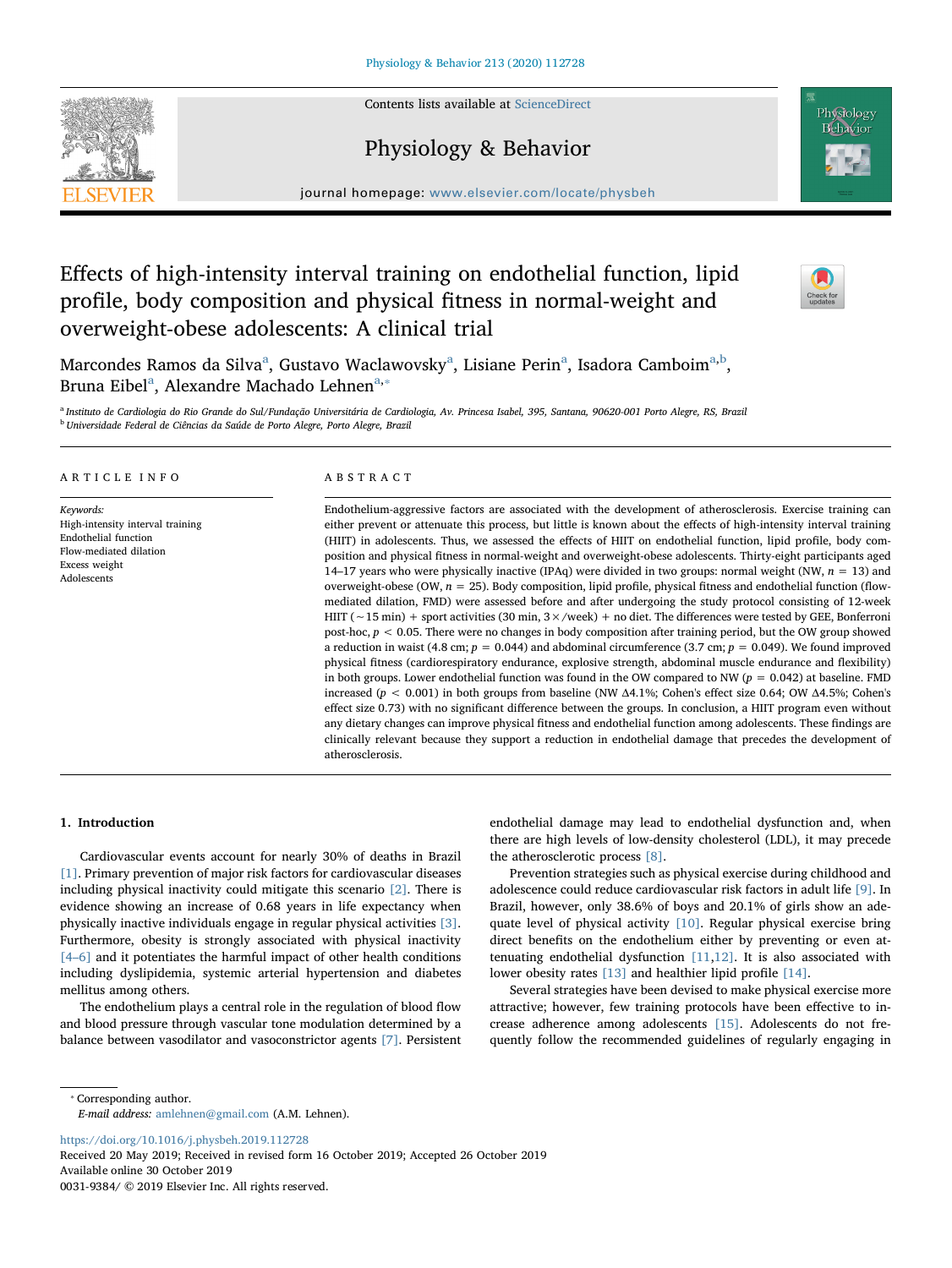Contents lists available at [ScienceDirect](http://www.sciencedirect.com/science/journal/00319384)

## Physiology & Behavior

journal homepage: [www.elsevier.com/locate/physbeh](https://www.elsevier.com/locate/physbeh)

# Effects of high-intensity interval training on endothelial function, lipid profile, body composition and physical fitness in normal-weight and overweight-obese adolescents: A clinical trial

M[a](#page-0-0)rcondes Ramos da Silva<sup>a</sup>, Gustavo Waclawovsky<sup>a</sup>, Lisiane Perin<sup>a</sup>, Isadora Camboim<sup>a[,b](#page-0-1)</sup>, Brun[a](#page-0-0) Eibel<sup>a</sup>, Alexandre Machado Lehnen<sup>a,</sup>\*

<span id="page-0-1"></span><span id="page-0-0"></span><sup>a</sup> Instituto de Cardiologia do Rio Grande do Sul/Fundação Universitária de Cardiologia, Av. Princesa Isabel, 395, Santana, 90620-001 Porto Alegre, RS, Brazil <sup>b</sup> Universidade Federal de Ciências da Saúde de Porto Alegre, Porto Alegre, Brazil

## ARTICLE INFO

Keywords: High-intensity interval training Endothelial function Flow-mediated dilation Excess weight Adolescents

## ABSTRACT

Endothelium-aggressive factors are associated with the development of atherosclerosis. Exercise training can either prevent or attenuate this process, but little is known about the effects of high-intensity interval training (HIIT) in adolescents. Thus, we assessed the effects of HIIT on endothelial function, lipid profile, body composition and physical fitness in normal-weight and overweight-obese adolescents. Thirty-eight participants aged 14–17 years who were physically inactive (IPAq) were divided in two groups: normal weight (NW,  $n = 13$ ) and overweight-obese (OW,  $n = 25$ ). Body composition, lipid profile, physical fitness and endothelial function (flowmediated dilation, FMD) were assessed before and after undergoing the study protocol consisting of 12-week HIIT (∼15 min) + sport activities (30 min, 3×/week) + no diet. The differences were tested by GEE, Bonferroni post-hoc,  $p < 0.05$ . There were no changes in body composition after training period, but the OW group showed a reduction in waist (4.8 cm;  $p = 0.044$ ) and abdominal circumference (3.7 cm;  $p = 0.049$ ). We found improved physical fitness (cardiorespiratory endurance, explosive strength, abdominal muscle endurance and flexibility) in both groups. Lower endothelial function was found in the OW compared to NW ( $p = 0.042$ ) at baseline. FMD increased ( $p < 0.001$ ) in both groups from baseline (NW Δ4.1%; Cohen's effect size 0.64; OW Δ4.5%; Cohen's effect size 0.73) with no significant difference between the groups. In conclusion, a HIIT program even without any dietary changes can improve physical fitness and endothelial function among adolescents. These findings are clinically relevant because they support a reduction in endothelial damage that precedes the development of atherosclerosis.

#### 1. Introduction

Cardiovascular events account for nearly 30% of deaths in Brazil [\[1\].](#page-6-0) Primary prevention of major risk factors for cardiovascular diseases including physical inactivity could mitigate this scenario [\[2\].](#page-6-1) There is evidence showing an increase of 0.68 years in life expectancy when physically inactive individuals engage in regular physical activities [\[3\]](#page-6-2). Furthermore, obesity is strongly associated with physical inactivity [4–[6\]](#page-6-3) and it potentiates the harmful impact of other health conditions including dyslipidemia, systemic arterial hypertension and diabetes mellitus among others.

The endothelium plays a central role in the regulation of blood flow and blood pressure through vascular tone modulation determined by a balance between vasodilator and vasoconstrictor agents [\[7\].](#page-6-4) Persistent

endothelial damage may lead to endothelial dysfunction and, when there are high levels of low-density cholesterol (LDL), it may precede the atherosclerotic process [\[8\].](#page-6-5)

Prevention strategies such as physical exercise during childhood and adolescence could reduce cardiovascular risk factors in adult life [\[9\]](#page-6-6). In Brazil, however, only 38.6% of boys and 20.1% of girls show an adequate level of physical activity [\[10\]](#page-6-7). Regular physical exercise bring direct benefits on the endothelium either by preventing or even attenuating endothelial dysfunction  $[11,12]$  $[11,12]$ . It is also associated with lower obesity rates [\[13\]](#page-6-10) and healthier lipid profile [\[14\]](#page-6-11).

Several strategies have been devised to make physical exercise more attractive; however, few training protocols have been effective to increase adherence among adolescents [\[15\].](#page-6-12) Adolescents do not frequently follow the recommended guidelines of regularly engaging in

<span id="page-0-2"></span>⁎ Corresponding author.

E-mail address: [amlehnen@gmail.com](mailto:amlehnen@gmail.com) (A.M. Lehnen).

<https://doi.org/10.1016/j.physbeh.2019.112728>

Received 20 May 2019; Received in revised form 16 October 2019; Accepted 26 October 2019 Available online 30 October 2019

0031-9384/ © 2019 Elsevier Inc. All rights reserved.





Physiology Behavior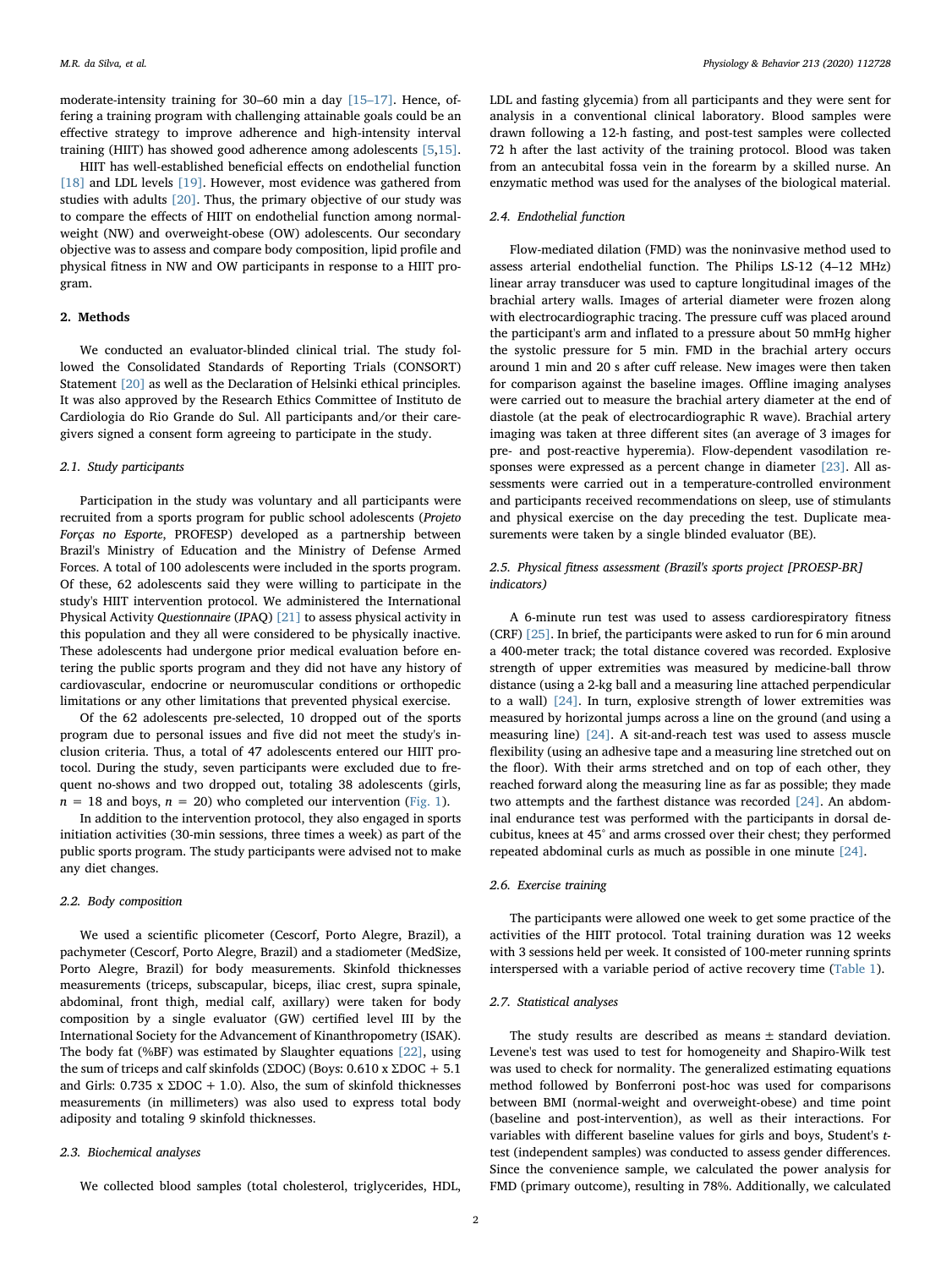moderate-intensity training for 30–60 min a day [15–[17\]](#page-6-12). Hence, offering a training program with challenging attainable goals could be an effective strategy to improve adherence and high-intensity interval training (HIIT) has showed good adherence among adolescents [\[5,](#page-6-13)[15\]](#page-6-12).

HIIT has well-established beneficial effects on endothelial function [\[18\]](#page-6-14) and LDL levels [\[19\].](#page-6-15) However, most evidence was gathered from studies with adults [\[20\]](#page-6-16). Thus, the primary objective of our study was to compare the effects of HIIT on endothelial function among normalweight (NW) and overweight-obese (OW) adolescents. Our secondary objective was to assess and compare body composition, lipid profile and physical fitness in NW and OW participants in response to a HIIT program.

## 2. Methods

We conducted an evaluator-blinded clinical trial. The study followed the Consolidated Standards of Reporting Trials (CONSORT) Statement [\[20\]](#page-6-16) as well as the Declaration of Helsinki ethical principles. It was also approved by the Research Ethics Committee of Instituto de Cardiologia do Rio Grande do Sul. All participants and/or their caregivers signed a consent form agreeing to participate in the study.

### 2.1. Study participants

Participation in the study was voluntary and all participants were recruited from a sports program for public school adolescents (Projeto Forças no Esporte, PROFESP) developed as a partnership between Brazil's Ministry of Education and the Ministry of Defense Armed Forces. A total of 100 adolescents were included in the sports program. Of these, 62 adolescents said they were willing to participate in the study's HIIT intervention protocol. We administered the International Physical Activity Questionnaire (IPAQ) [\[21\]](#page-6-17) to assess physical activity in this population and they all were considered to be physically inactive. These adolescents had undergone prior medical evaluation before entering the public sports program and they did not have any history of cardiovascular, endocrine or neuromuscular conditions or orthopedic limitations or any other limitations that prevented physical exercise.

Of the 62 adolescents pre-selected, 10 dropped out of the sports program due to personal issues and five did not meet the study's inclusion criteria. Thus, a total of 47 adolescents entered our HIIT protocol. During the study, seven participants were excluded due to frequent no-shows and two dropped out, totaling 38 adolescents (girls,  $n = 18$  and boys,  $n = 20$ ) who completed our intervention [\(Fig. 1\)](#page-2-0).

In addition to the intervention protocol, they also engaged in sports initiation activities (30-min sessions, three times a week) as part of the public sports program. The study participants were advised not to make any diet changes.

### 2.2. Body composition

We used a scientific plicometer (Cescorf, Porto Alegre, Brazil), a pachymeter (Cescorf, Porto Alegre, Brazil) and a stadiometer (MedSize, Porto Alegre, Brazil) for body measurements. Skinfold thicknesses measurements (triceps, subscapular, biceps, iliac crest, supra spinale, abdominal, front thigh, medial calf, axillary) were taken for body composition by a single evaluator (GW) certified level III by the International Society for the Advancement of Kinanthropometry (ISAK). The body fat (%BF) was estimated by Slaughter equations [\[22\],](#page-6-18) using the sum of triceps and calf skinfolds (ΣDOC) (Boys:  $0.610$  x ΣDOC + 5.1 and Girls:  $0.735 \times \Sigma DOC + 1.0$ . Also, the sum of skinfold thicknesses measurements (in millimeters) was also used to express total body adiposity and totaling 9 skinfold thicknesses.

#### 2.3. Biochemical analyses

We collected blood samples (total cholesterol, triglycerides, HDL,

LDL and fasting glycemia) from all participants and they were sent for analysis in a conventional clinical laboratory. Blood samples were drawn following a 12-h fasting, and post-test samples were collected 72 h after the last activity of the training protocol. Blood was taken from an antecubital fossa vein in the forearm by a skilled nurse. An enzymatic method was used for the analyses of the biological material.

## 2.4. Endothelial function

Flow-mediated dilation (FMD) was the noninvasive method used to assess arterial endothelial function. The Philips LS-12 (4–12 MHz) linear array transducer was used to capture longitudinal images of the brachial artery walls. Images of arterial diameter were frozen along with electrocardiographic tracing. The pressure cuff was placed around the participant's arm and inflated to a pressure about 50 mmHg higher the systolic pressure for 5 min. FMD in the brachial artery occurs around 1 min and 20 s after cuff release. New images were then taken for comparison against the baseline images. Offline imaging analyses were carried out to measure the brachial artery diameter at the end of diastole (at the peak of electrocardiographic R wave). Brachial artery imaging was taken at three different sites (an average of 3 images for pre- and post-reactive hyperemia). Flow-dependent vasodilation responses were expressed as a percent change in diameter [\[23\]](#page-6-19). All assessments were carried out in a temperature-controlled environment and participants received recommendations on sleep, use of stimulants and physical exercise on the day preceding the test. Duplicate measurements were taken by a single blinded evaluator (BE).

## 2.5. Physical fitness assessment (Brazil's sports project [PROESP-BR] indicators)

A 6-minute run test was used to assess cardiorespiratory fitness (CRF) [\[25\].](#page-6-20) In brief, the participants were asked to run for 6 min around a 400-meter track; the total distance covered was recorded. Explosive strength of upper extremities was measured by medicine-ball throw distance (using a 2-kg ball and a measuring line attached perpendicular to a wall) [\[24\].](#page-6-21) In turn, explosive strength of lower extremities was measured by horizontal jumps across a line on the ground (and using a measuring line) [\[24\]](#page-6-21). A sit-and-reach test was used to assess muscle flexibility (using an adhesive tape and a measuring line stretched out on the floor). With their arms stretched and on top of each other, they reached forward along the measuring line as far as possible; they made two attempts and the farthest distance was recorded [\[24\]](#page-6-21). An abdominal endurance test was performed with the participants in dorsal decubitus, knees at 45° and arms crossed over their chest; they performed repeated abdominal curls as much as possible in one minute [\[24\].](#page-6-21)

#### 2.6. Exercise training

The participants were allowed one week to get some practice of the activities of the HIIT protocol. Total training duration was 12 weeks with 3 sessions held per week. It consisted of 100-meter running sprints interspersed with a variable period of active recovery time ([Table 1\)](#page-2-1).

## 2.7. Statistical analyses

The study results are described as means ± standard deviation. Levene's test was used to test for homogeneity and Shapiro-Wilk test was used to check for normality. The generalized estimating equations method followed by Bonferroni post-hoc was used for comparisons between BMI (normal-weight and overweight-obese) and time point (baseline and post-intervention), as well as their interactions. For variables with different baseline values for girls and boys, Student's ttest (independent samples) was conducted to assess gender differences. Since the convenience sample, we calculated the power analysis for FMD (primary outcome), resulting in 78%. Additionally, we calculated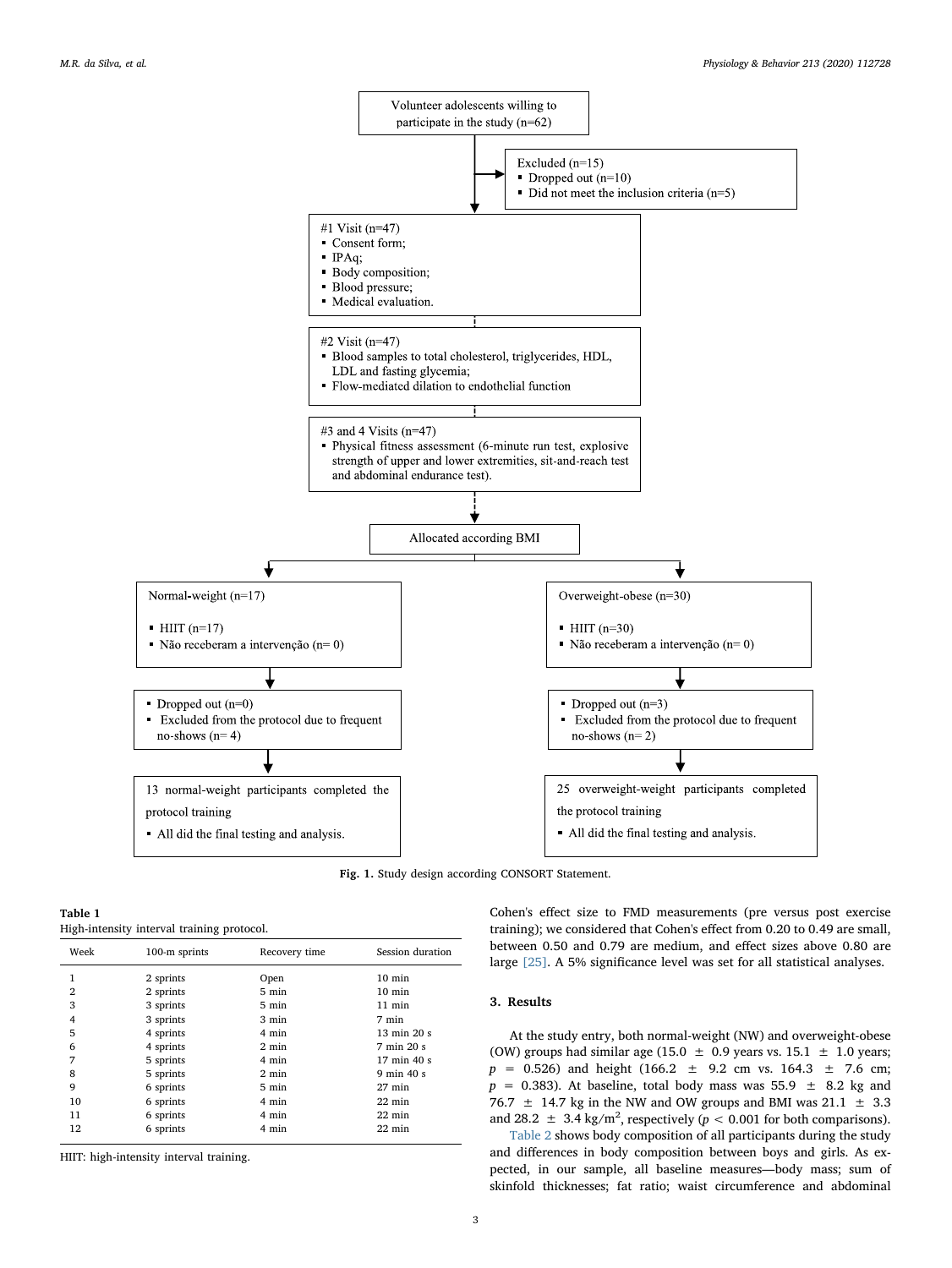<span id="page-2-0"></span>

Fig. 1. Study design according CONSORT Statement.

<span id="page-2-1"></span>

| Table 1                                    |  |
|--------------------------------------------|--|
| High-intensity interval training protocol. |  |

| Week           | 100-m sprints | Recovery time   | Session duration               |
|----------------|---------------|-----------------|--------------------------------|
| 1              | 2 sprints     | Open            | $10 \text{ min}$               |
| $\overline{2}$ | 2 sprints     | 5 min           | $10 \text{ min}$               |
| 3              | 3 sprints     | 5 min           | $11$ min                       |
| 4              | 3 sprints     | 3 min           | 7 min                          |
| 5              | 4 sprints     | 4 min           | $13 \text{ min } 20 \text{ s}$ |
| 6              | 4 sprints     | $2 \text{ min}$ | 7 min 20 s                     |
| 7              | 5 sprints     | 4 min           | 17 min 40 s                    |
| 8              | 5 sprints     | $2 \text{ min}$ | $9 \text{ min } 40 \text{ s}$  |
| 9              | 6 sprints     | 5 min           | $27 \text{ min}$               |
| 10             | 6 sprints     | 4 min           | $22 \text{ min}$               |
| 11             | 6 sprints     | 4 min           | $22 \text{ min}$               |
| 12             | 6 sprints     | 4 min           | $22 \text{ min}$               |

HIIT: high-intensity interval training.

Cohen's effect size to FMD measurements (pre versus post exercise training); we considered that Cohen's effect from 0.20 to 0.49 are small, between 0.50 and 0.79 are medium, and effect sizes above 0.80 are large [\[25\].](#page-6-20) A 5% significance level was set for all statistical analyses.

## 3. Results

At the study entry, both normal-weight (NW) and overweight-obese (OW) groups had similar age (15.0  $\pm$  0.9 years vs. 15.1  $\pm$  1.0 years;  $p = 0.526$ ) and height (166.2  $\pm$  9.2 cm vs. 164.3  $\pm$  7.6 cm;  $p = 0.383$ ). At baseline, total body mass was 55.9  $\pm$  8.2 kg and 76.7  $\pm$  14.7 kg in the NW and OW groups and BMI was 21.1  $\pm$  3.3 and 28.2  $\pm$  3.4 kg/m<sup>2</sup>, respectively ( $p < 0.001$  for both comparisons).

[Table 2](#page-3-0) shows body composition of all participants during the study and differences in body composition between boys and girls. As expected, in our sample, all baseline measures—body mass; sum of skinfold thicknesses; fat ratio; waist circumference and abdominal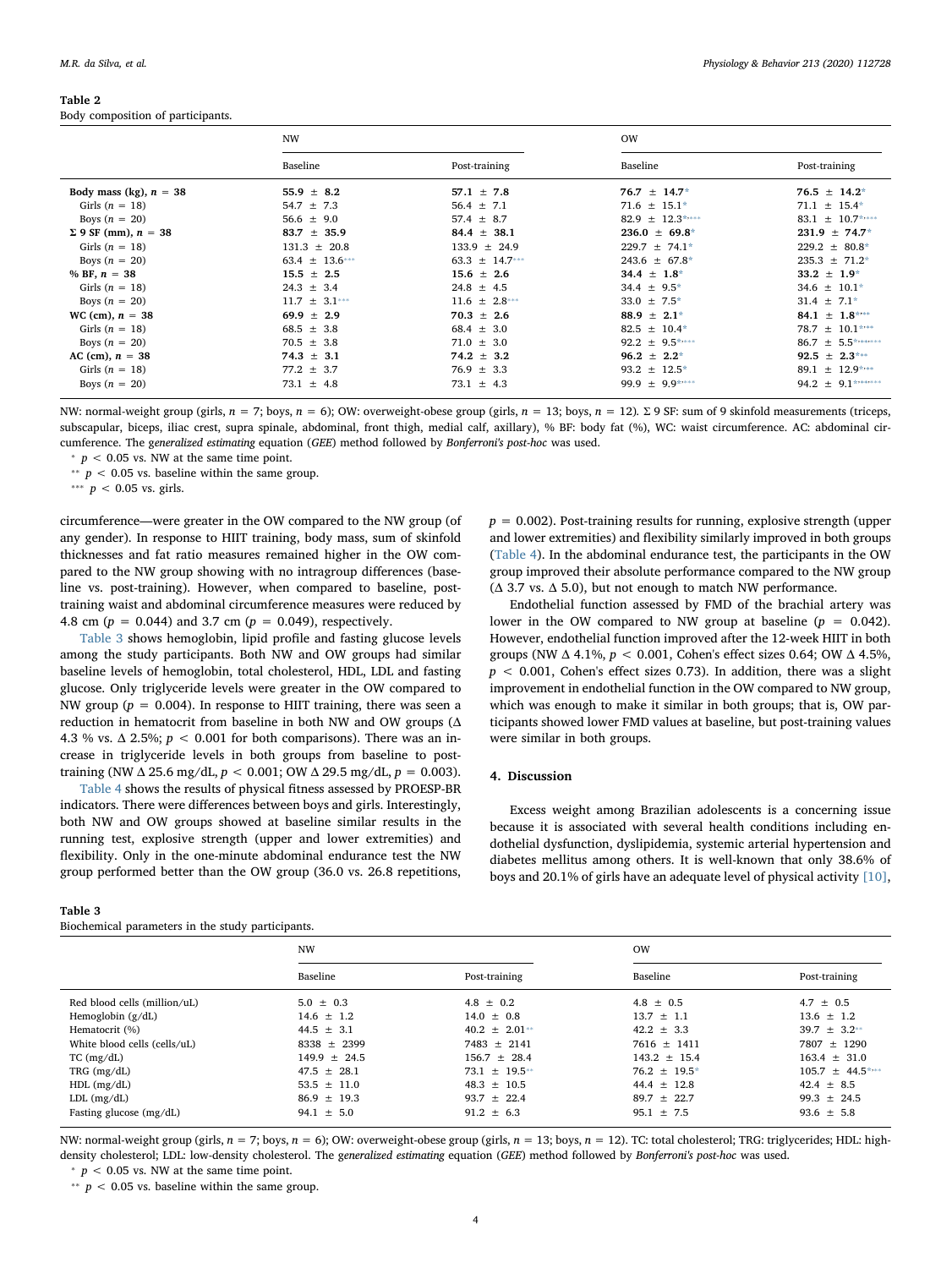## <span id="page-3-0"></span>Table 2

Body composition of participants.

|                              | <b>NW</b>          |                    |                     |                        |
|------------------------------|--------------------|--------------------|---------------------|------------------------|
|                              | Baseline           | Post-training      | Baseline            | Post-training          |
| Body mass (kg), $n = 38$     | 55.9 $\pm$ 8.2     | 57.1 $\pm$ 7.8     | $76.7 \pm 14.7^*$   | $76.5 \pm 14.2^*$      |
| Girls $(n = 18)$             | $54.7 \pm 7.3$     | $56.4 \pm 7.1$     | $71.6 \pm 15.1*$    | $71.1 \pm 15.4*$       |
| Boys $(n = 20)$              | $56.6 \pm 9.0$     | 57.4 $\pm$ 8.7     | 82.9 $\pm$ 12.3**** | 83.1 $\pm$ 10.7****    |
| $\Sigma$ 9 SF (mm), $n = 38$ | $83.7 \pm 35.9$    | $84.4 \pm 38.1$    | $236.0 \pm 69.8^*$  | $231.9 \pm 74.7^*$     |
| Girls $(n = 18)$             | $131.3 \pm 20.8$   | $133.9 \pm 24.9$   | $229.7 \pm 74.1*$   | $229.2 \pm 80.8^*$     |
| Boys $(n = 20)$              | $63.4 \pm 13.6***$ | 63.3 $\pm$ 14.7*** | $243.6 \pm 67.8^*$  | $235.3 \pm 71.2^*$     |
| % BF, $n = 38$               | $15.5 \pm 2.5$     | $15.6 \pm 2.6$     | 34.4 $\pm$ 1.8*     | $33.2 \pm 1.9^*$       |
| Girls $(n = 18)$             | $24.3 \pm 3.4$     | $24.8 \pm 4.5$     | $34.4 \pm 9.5^*$    | $34.6 \pm 10.1*$       |
| Boys $(n = 20)$              | $11.7 \pm 3.1***$  | $11.6 \pm 2.8***$  | $33.0 \pm 7.5^*$    | $31.4 \pm 7.1*$        |
| $WC (cm), n = 38$            | 69.9 $\pm$ 2.9     | $70.3 \pm 2.6$     | $88.9 \pm 2.1^*$    | 84.1 $\pm$ 1.8***      |
| Girls $(n = 18)$             | $68.5 \pm 3.8$     | $68.4 \pm 3.0$     | $82.5 \pm 10.4*$    | 78.7 $\pm$ 10.1****    |
| Boys $(n = 20)$              | $70.5 \pm 3.8$     | $71.0 \pm 3.0$     | $92.2 \pm 9.5$ **** | $86.7 \pm 5.5$ ******* |
| AC (cm), $n = 38$            | $74.3 \pm 3.1$     | $74.2 \pm 3.2$     | $96.2 \pm 2.2^*$    | $92.5 \pm 2.3***$      |
| Girls $(n = 18)$             | $77.2 \pm 3.7$     | $76.9 \pm 3.3$     | $93.2 \pm 12.5^*$   | $89.1 \pm 12.9$ ***    |
| Boys $(n = 20)$              | $73.1 \pm 4.8$     | $73.1 \pm 4.3$     | 99.9 $\pm$ 9.9****  | 94.2 $\pm$ 9.1*******  |

NW: normal-weight group (girls,  $n = 7$ ; boys,  $n = 6$ ); OW: overweight-obese group (girls,  $n = 13$ ; boys,  $n = 12$ ). Σ 9 SF: sum of 9 skinfold measurements (triceps, subscapular, biceps, iliac crest, supra spinale, abdominal, front thigh, medial calf, axillary), % BF: body fat (%), WC: waist circumference. AC: abdominal circumference. The generalized estimating equation (GEE) method followed by Bonferroni's post-hoc was used.

<span id="page-3-2"></span> $p < 0.05$  vs. NW at the same time point.

<span id="page-3-4"></span><sup>∗</sup> *p* < 0.05 vs. baseline within the same group.

<span id="page-3-3"></span>\*\*\*  $p$  < 0.05 vs. girls.

circumference—were greater in the OW compared to the NW group (of any gender). In response to HIIT training, body mass, sum of skinfold thicknesses and fat ratio measures remained higher in the OW compared to the NW group showing with no intragroup differences (baseline vs. post-training). However, when compared to baseline, posttraining waist and abdominal circumference measures were reduced by 4.8 cm ( $p = 0.044$ ) and 3.7 cm ( $p = 0.049$ ), respectively.

[Table 3](#page-3-1) shows hemoglobin, lipid profile and fasting glucose levels among the study participants. Both NW and OW groups had similar baseline levels of hemoglobin, total cholesterol, HDL, LDL and fasting glucose. Only triglyceride levels were greater in the OW compared to NW group ( $p = 0.004$ ). In response to HIIT training, there was seen a reduction in hematocrit from baseline in both NW and OW groups (Δ 4.3 % vs.  $\Delta$  2.5%;  $p < 0.001$  for both comparisons). There was an increase in triglyceride levels in both groups from baseline to posttraining (NW  $\triangle$  25.6 mg/dL,  $p < 0.001$ ; OW  $\triangle$  29.5 mg/dL,  $p = 0.003$ ).

[Table 4](#page-4-0) shows the results of physical fitness assessed by PROESP-BR indicators. There were differences between boys and girls. Interestingly, both NW and OW groups showed at baseline similar results in the running test, explosive strength (upper and lower extremities) and flexibility. Only in the one-minute abdominal endurance test the NW group performed better than the OW group (36.0 vs. 26.8 repetitions,

#### <span id="page-3-1"></span>Table 3

Biochemical parameters in the study participants.

 $p = 0.002$ ). Post-training results for running, explosive strength (upper and lower extremities) and flexibility similarly improved in both groups ([Table 4](#page-4-0)). In the abdominal endurance test, the participants in the OW group improved their absolute performance compared to the NW group ( $Δ$  3.7 vs.  $Δ$  5.0), but not enough to match NW performance.

Endothelial function assessed by FMD of the brachial artery was lower in the OW compared to NW group at baseline  $(p = 0.042)$ . However, endothelial function improved after the 12-week HIIT in both groups (NW  $\Delta$  4.1%,  $p < 0.001$ , Cohen's effect sizes 0.64; OW  $\Delta$  4.5%,  $p < 0.001$ , Cohen's effect sizes 0.73). In addition, there was a slight improvement in endothelial function in the OW compared to NW group, which was enough to make it similar in both groups; that is, OW participants showed lower FMD values at baseline, but post-training values were similar in both groups.

#### 4. Discussion

Excess weight among Brazilian adolescents is a concerning issue because it is associated with several health conditions including endothelial dysfunction, dyslipidemia, systemic arterial hypertension and diabetes mellitus among others. It is well-known that only 38.6% of boys and 20.1% of girls have an adequate level of physical activity [\[10\]](#page-6-7),

|                              | <b>NW</b>        |                    | <b>OW</b>         |                      |
|------------------------------|------------------|--------------------|-------------------|----------------------|
|                              | Baseline         | Post-training      | Baseline          | Post-training        |
| Red blood cells (million/uL) | $5.0 \pm 0.3$    | $4.8 \pm 0.2$      | $4.8 \pm 0.5$     | $4.7 + 0.5$          |
| Hemoglobin $(g/dL)$          | $14.6 \pm 1.2$   | $14.0 \pm 0.8$     | $13.7 \pm 1.1$    | $13.6 \pm 1.2$       |
| Hematocrit (%)               | 44.5 $\pm$ 3.1   | $40.2 \pm 2.01**$  | $42.2 \pm 3.3$    | $39.7 + 3.2**$       |
| White blood cells (cells/uL) | $8338 \pm 2399$  | $7483 \pm 2141$    | $7616 \pm 1411$   | 7807 ± 1290          |
| TC (mg/dL)                   | $149.9 \pm 24.5$ | $156.7 \pm 28.4$   | $143.2 \pm 15.4$  | $163.4 \pm 31.0$     |
| TRG $(mg/dL)$                | $47.5 \pm 28.1$  | $73.1 \pm 19.5$ ** | $76.2 \pm 19.5^*$ | $105.7 \pm 44.5$ *** |
| $HDL$ (mg/dL)                | $53.5 \pm 11.0$  | $48.3 \pm 10.5$    | $44.4 \pm 12.8$   | $42.4 \pm 8.5$       |
| $LDL$ (mg/dL)                | $86.9 \pm 19.3$  | $93.7 \pm 22.4$    | $89.7 \pm 22.7$   | $99.3 \pm 24.5$      |
| Fasting glucose (mg/dL)      | $94.1 \pm 5.0$   | $91.2 \pm 6.3$     | $95.1 \pm 7.5$    | $93.6 \pm 5.8$       |

NW: normal-weight group (girls,  $n = 7$ ; boys,  $n = 6$ ); OW: overweight-obese group (girls,  $n = 13$ ; boys,  $n = 12$ ). TC: total cholesterol; TRG: triglycerides; HDL: highdensity cholesterol; LDL: low-density cholesterol. The generalized estimating equation (GEE) method followed by Bonferroni's post-hoc was used.  $p < 0.05$  vs. NW at the same time point.

<span id="page-3-6"></span><span id="page-3-5"></span><sup>∗</sup> *p* < 0.05 vs. baseline within the same group.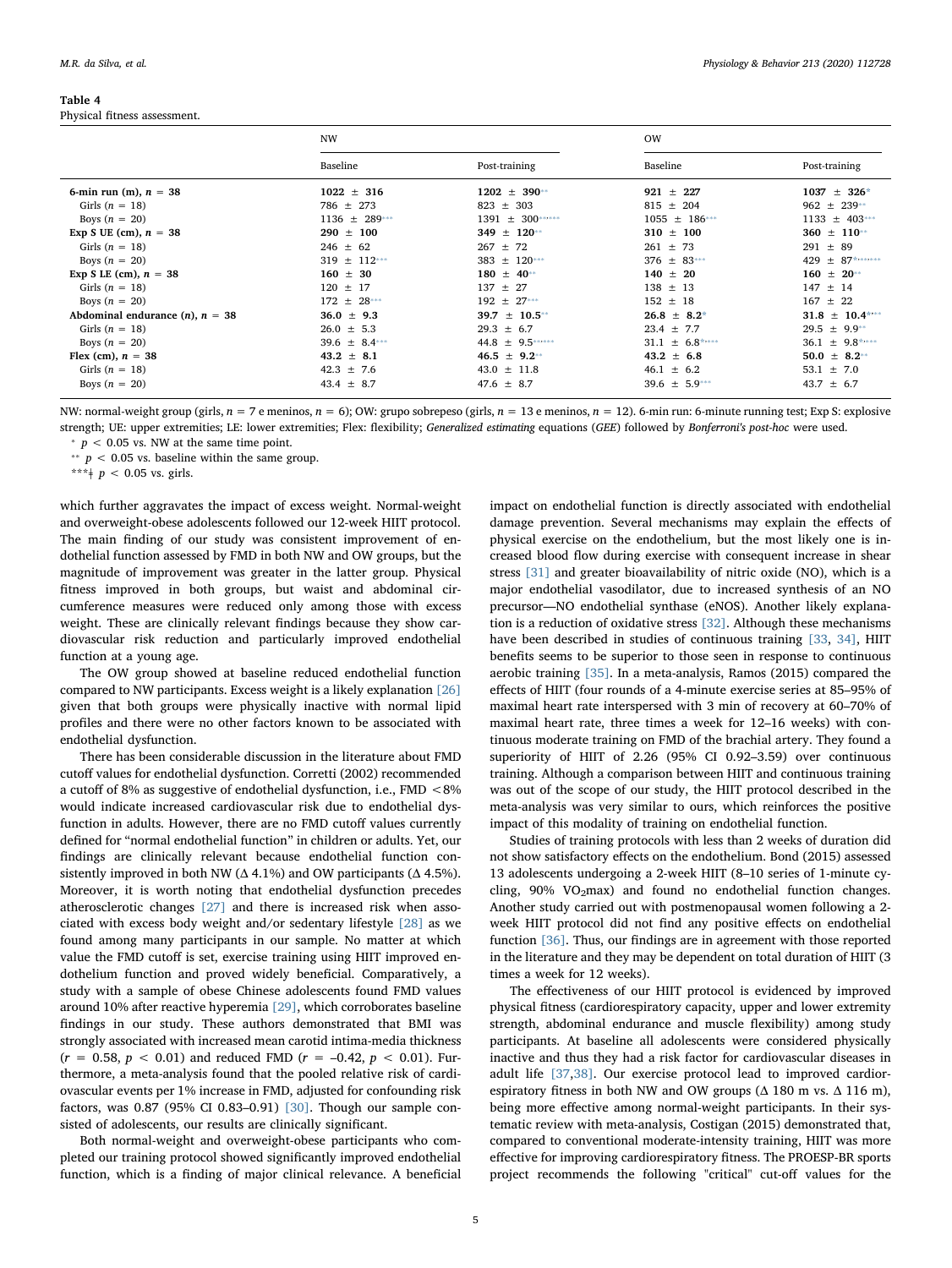#### <span id="page-4-0"></span>Table 4

Physical fitness assessment.

|                                      | <b>NW</b>         |                     | <b>OW</b>           |                      |
|--------------------------------------|-------------------|---------------------|---------------------|----------------------|
|                                      | Baseline          | Post-training       | Baseline            | Post-training        |
| 6-min run (m), $n = 38$              | $1022 \pm 316$    | $1202 \pm 390^{**}$ | $921 \pm 227$       | $1037 \pm 326^*$     |
| Girls $(n = 18)$                     | $786 \pm 273$     | $823 \pm 303$       | $815 \pm 204$       | $962 \pm 239**$      |
| Boys $(n = 20)$                      | $1136 \pm 289***$ | 1391 ± 300******    | $1055 \pm 186***$   | $1133 \pm 403$ ***   |
| Exp S UE (cm), $n = 38$              | $290 \pm 100$     | 349 $\pm$ 120**     | $310 \pm 100$       | $360 \pm 110^{**}$   |
| Girls $(n = 18)$                     | $246 \pm 62$      | $267 \pm 72$        | $261 \pm 73$        | $291 \pm 89$         |
| Boys $(n = 20)$                      | $319 \pm 112***$  | 383 $\pm$ 120***    | $376 \pm 83***$     | 429 ± 87*******      |
| Exp S LE (cm), $n = 38$              | $160 \pm 30$      | $180 \pm 40^{**}$   | $140 \pm 20$        | $160 \pm 20^{**}$    |
| Girls $(n = 18)$                     | $120 \pm 17$      | $137 \pm 27$        | $138 \pm 13$        | $147 \pm 14$         |
| Boys $(n = 20)$                      | $172 \pm 28***$   | $192 \pm 27***$     | $152 \pm 18$        | $167 \pm 22$         |
| Abdominal endurance $(n)$ , $n = 38$ | $36.0 \pm 9.3$    | $± 10.5**$<br>39.7  | $26.8 \pm 8.2^*$    | $31.8 \pm 10.4$ **** |
| Girls $(n = 18)$                     | $26.0 \pm 5.3$    | $29.3 \pm 6.7$      | $23.4 \pm 7.7$      | $29.5 \pm 9.9**$     |
| Boys $(n = 20)$                      | 39.6 $\pm$ 8.4*** | 44.8 $\pm$ 9.5***** | $31.1 \pm 6.8$ **** | $36.1 \pm 9.8$ ****  |
| Flex (cm), $n = 38$                  | $43.2 \pm 8.1$    | $46.5 \pm 9.2$ **   | $43.2 \pm 6.8$      | $50.0 \pm 8.2**$     |
| Girls $(n = 18)$                     | $42.3 \pm 7.6$    | $43.0 \pm 11.8$     | $46.1 \pm 6.2$      | 53.1 $\pm$ 7.0       |
| Boys $(n = 20)$                      | $43.4 \pm 8.7$    | $47.6 \pm 8.7$      | $39.6 \pm 5.9***$   | $43.7 \pm 6.7$       |

NW: normal-weight group (girls,  $n = 7$  e meninos,  $n = 6$ ); OW: grupo sobrepeso (girls,  $n = 13$  e meninos,  $n = 12$ ). 6-min run: 6-minute running test; Exp S: explosive strength; UE: upper extremities; LE: lower extremities; Flex: flexibility; Generalized estimating equations (GEE) followed by Bonferroni's post-hoc were used.

<span id="page-4-2"></span> $p < 0.05$  vs. NW at the same time point.

<span id="page-4-1"></span>\*\*  $p$  < 0.05 vs. baseline within the same group.

<span id="page-4-3"></span>\*\*\* $\neq$  p < 0.05 vs. girls.

which further aggravates the impact of excess weight. Normal-weight and overweight-obese adolescents followed our 12-week HIIT protocol. The main finding of our study was consistent improvement of endothelial function assessed by FMD in both NW and OW groups, but the magnitude of improvement was greater in the latter group. Physical fitness improved in both groups, but waist and abdominal circumference measures were reduced only among those with excess weight. These are clinically relevant findings because they show cardiovascular risk reduction and particularly improved endothelial function at a young age.

The OW group showed at baseline reduced endothelial function compared to NW participants. Excess weight is a likely explanation [\[26\]](#page-6-22) given that both groups were physically inactive with normal lipid profiles and there were no other factors known to be associated with endothelial dysfunction.

There has been considerable discussion in the literature about FMD cutoff values for endothelial dysfunction. Corretti (2002) recommended a cutoff of 8% as suggestive of endothelial dysfunction, i.e., FMD <8% would indicate increased cardiovascular risk due to endothelial dysfunction in adults. However, there are no FMD cutoff values currently defined for "normal endothelial function" in children or adults. Yet, our findings are clinically relevant because endothelial function consistently improved in both NW ( $\Delta$  4.1%) and OW participants ( $\Delta$  4.5%). Moreover, it is worth noting that endothelial dysfunction precedes atherosclerotic changes [\[27\]](#page-6-23) and there is increased risk when associated with excess body weight and/or sedentary lifestyle [\[28\]](#page-6-24) as we found among many participants in our sample. No matter at which value the FMD cutoff is set, exercise training using HIIT improved endothelium function and proved widely beneficial. Comparatively, a study with a sample of obese Chinese adolescents found FMD values around 10% after reactive hyperemia [\[29\],](#page-6-25) which corroborates baseline findings in our study. These authors demonstrated that BMI was strongly associated with increased mean carotid intima-media thickness  $(r = 0.58, p < 0.01)$  and reduced FMD  $(r = -0.42, p < 0.01)$ . Furthermore, a meta-analysis found that the pooled relative risk of cardiovascular events per 1% increase in FMD, adjusted for confounding risk factors, was 0.87 (95% CI 0.83–0.91) [\[30\].](#page-6-26) Though our sample consisted of adolescents, our results are clinically significant.

Both normal-weight and overweight-obese participants who completed our training protocol showed significantly improved endothelial function, which is a finding of major clinical relevance. A beneficial

impact on endothelial function is directly associated with endothelial damage prevention. Several mechanisms may explain the effects of physical exercise on the endothelium, but the most likely one is increased blood flow during exercise with consequent increase in shear stress [\[31\]](#page-6-27) and greater bioavailability of nitric oxide (NO), which is a major endothelial vasodilator, due to increased synthesis of an NO precursor—NO endothelial synthase (eNOS). Another likely explanation is a reduction of oxidative stress [\[32\].](#page-6-28) Although these mechanisms have been described in studies of continuous training [\[33](#page-6-29), [34\]](#page-6-30), HIIT benefits seems to be superior to those seen in response to continuous aerobic training [\[35\].](#page-6-31) In a meta-analysis, Ramos (2015) compared the effects of HIIT (four rounds of a 4-minute exercise series at 85–95% of maximal heart rate interspersed with 3 min of recovery at 60–70% of maximal heart rate, three times a week for 12–16 weeks) with continuous moderate training on FMD of the brachial artery. They found a superiority of HIIT of 2.26 (95% CI 0.92–3.59) over continuous training. Although a comparison between HIIT and continuous training was out of the scope of our study, the HIIT protocol described in the meta-analysis was very similar to ours, which reinforces the positive impact of this modality of training on endothelial function.

Studies of training protocols with less than 2 weeks of duration did not show satisfactory effects on the endothelium. Bond (2015) assessed 13 adolescents undergoing a 2-week HIIT (8–10 series of 1-minute cycling, 90% VO2max) and found no endothelial function changes. Another study carried out with postmenopausal women following a 2 week HIIT protocol did not find any positive effects on endothelial function [\[36\]](#page-6-32). Thus, our findings are in agreement with those reported in the literature and they may be dependent on total duration of HIIT (3 times a week for 12 weeks).

The effectiveness of our HIIT protocol is evidenced by improved physical fitness (cardiorespiratory capacity, upper and lower extremity strength, abdominal endurance and muscle flexibility) among study participants. At baseline all adolescents were considered physically inactive and thus they had a risk factor for cardiovascular diseases in adult life [\[37,](#page-6-33)[38\]](#page-6-34). Our exercise protocol lead to improved cardiorespiratory fitness in both NW and OW groups ( $\Delta$  180 m vs.  $\Delta$  116 m), being more effective among normal-weight participants. In their systematic review with meta-analysis, Costigan (2015) demonstrated that, compared to conventional moderate-intensity training, HIIT was more effective for improving cardiorespiratory fitness. The PROESP-BR sports project recommends the following "critical" cut-off values for the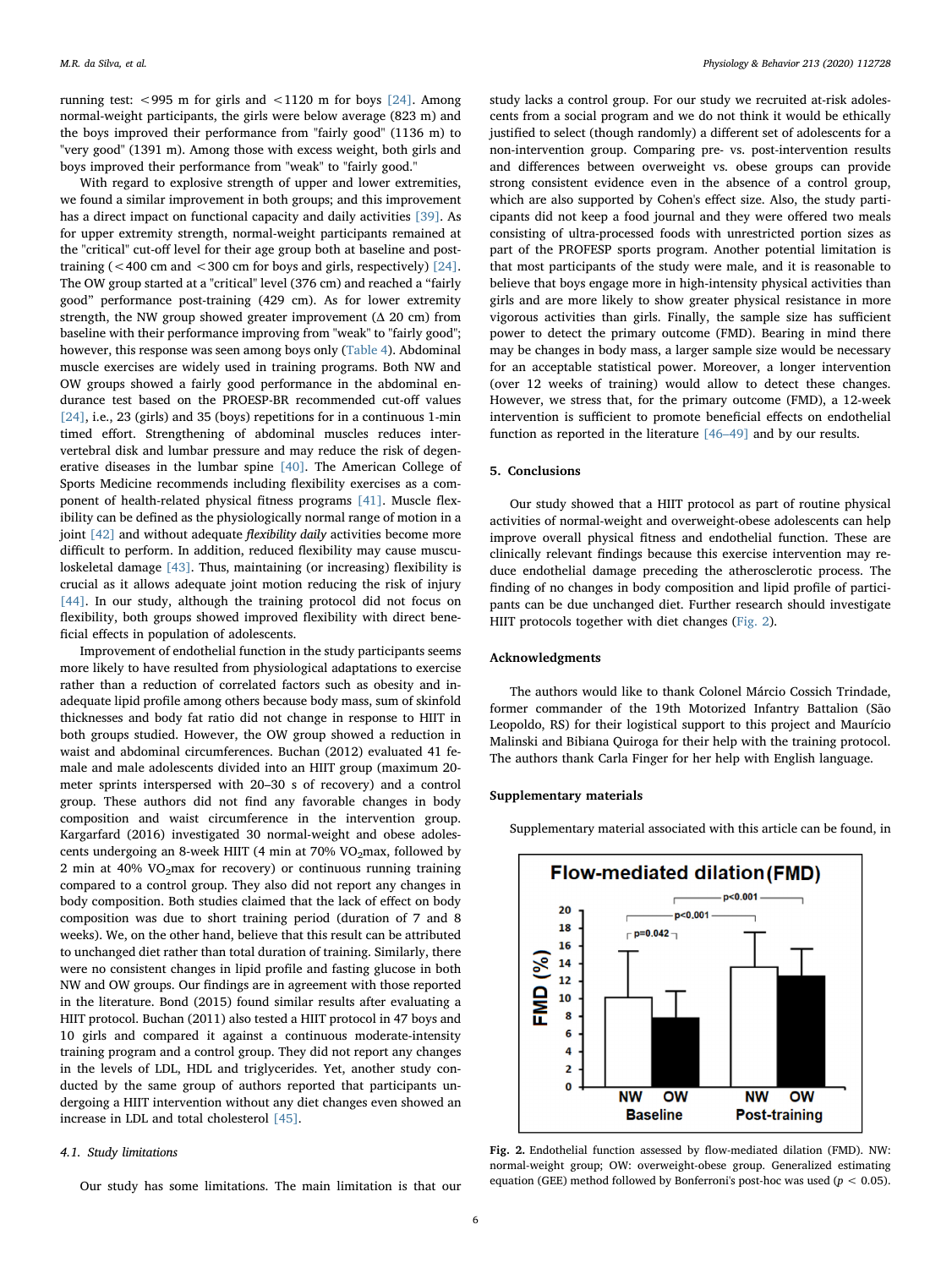running test:  $<$ 995 m for girls and  $<$ 1120 m for boys [\[24\].](#page-6-21) Among normal-weight participants, the girls were below average (823 m) and the boys improved their performance from "fairly good" (1136 m) to "very good" (1391 m). Among those with excess weight, both girls and boys improved their performance from "weak" to "fairly good."

With regard to explosive strength of upper and lower extremities, we found a similar improvement in both groups; and this improvement has a direct impact on functional capacity and daily activities [\[39\]](#page-6-35). As for upper extremity strength, normal-weight participants remained at the "critical" cut-off level for their age group both at baseline and posttraining  $( $400 \text{ cm}$  and  $$300 \text{ cm}$  for boys and girls, respectively) [24].$  $( $400 \text{ cm}$  and  $$300 \text{ cm}$  for boys and girls, respectively) [24].$  $( $400 \text{ cm}$  and  $$300 \text{ cm}$  for boys and girls, respectively) [24].$$$$ The OW group started at a "critical" level (376 cm) and reached a "fairly good" performance post-training (429 cm). As for lower extremity strength, the NW group showed greater improvement  $(Δ 20 cm)$  from baseline with their performance improving from "weak" to "fairly good"; however, this response was seen among boys only ([Table 4\)](#page-4-0). Abdominal muscle exercises are widely used in training programs. Both NW and OW groups showed a fairly good performance in the abdominal endurance test based on the PROESP-BR recommended cut-off values [\[24\]](#page-6-21), i.e., 23 (girls) and 35 (boys) repetitions for in a continuous 1-min timed effort. Strengthening of abdominal muscles reduces intervertebral disk and lumbar pressure and may reduce the risk of degenerative diseases in the lumbar spine [\[40\].](#page-6-36) The American College of Sports Medicine recommends including flexibility exercises as a component of health-related physical fitness programs [\[41\]](#page-6-37). Muscle flexibility can be defined as the physiologically normal range of motion in a joint [\[42\]](#page-6-38) and without adequate *flexibility daily* activities become more difficult to perform. In addition, reduced flexibility may cause musculoskeletal damage [\[43\].](#page-6-39) Thus, maintaining (or increasing) flexibility is crucial as it allows adequate joint motion reducing the risk of injury [\[44\]](#page-7-0). In our study, although the training protocol did not focus on flexibility, both groups showed improved flexibility with direct beneficial effects in population of adolescents.

Improvement of endothelial function in the study participants seems more likely to have resulted from physiological adaptations to exercise rather than a reduction of correlated factors such as obesity and inadequate lipid profile among others because body mass, sum of skinfold thicknesses and body fat ratio did not change in response to HIIT in both groups studied. However, the OW group showed a reduction in waist and abdominal circumferences. Buchan (2012) evaluated 41 female and male adolescents divided into an HIIT group (maximum 20 meter sprints interspersed with 20–30 s of recovery) and a control group. These authors did not find any favorable changes in body composition and waist circumference in the intervention group. Kargarfard (2016) investigated 30 normal-weight and obese adolescents undergoing an 8-week HIIT (4 min at 70%  $VO<sub>2</sub>$ max, followed by 2 min at 40%  $VO<sub>2</sub>$  max for recovery) or continuous running training compared to a control group. They also did not report any changes in body composition. Both studies claimed that the lack of effect on body composition was due to short training period (duration of 7 and 8 weeks). We, on the other hand, believe that this result can be attributed to unchanged diet rather than total duration of training. Similarly, there were no consistent changes in lipid profile and fasting glucose in both NW and OW groups. Our findings are in agreement with those reported in the literature. Bond (2015) found similar results after evaluating a HIIT protocol. Buchan (2011) also tested a HIIT protocol in 47 boys and 10 girls and compared it against a continuous moderate-intensity training program and a control group. They did not report any changes in the levels of LDL, HDL and triglycerides. Yet, another study conducted by the same group of authors reported that participants undergoing a HIIT intervention without any diet changes even showed an increase in LDL and total cholesterol [\[45\].](#page-7-1)

#### 4.1. Study limitations

Our study has some limitations. The main limitation is that our

study lacks a control group. For our study we recruited at-risk adolescents from a social program and we do not think it would be ethically justified to select (though randomly) a different set of adolescents for a non-intervention group. Comparing pre- vs. post-intervention results and differences between overweight vs. obese groups can provide strong consistent evidence even in the absence of a control group, which are also supported by Cohen's effect size. Also, the study participants did not keep a food journal and they were offered two meals consisting of ultra-processed foods with unrestricted portion sizes as part of the PROFESP sports program. Another potential limitation is that most participants of the study were male, and it is reasonable to believe that boys engage more in high-intensity physical activities than girls and are more likely to show greater physical resistance in more vigorous activities than girls. Finally, the sample size has sufficient power to detect the primary outcome (FMD). Bearing in mind there may be changes in body mass, a larger sample size would be necessary for an acceptable statistical power. Moreover, a longer intervention (over 12 weeks of training) would allow to detect these changes. However, we stress that, for the primary outcome (FMD), a 12-week intervention is sufficient to promote beneficial effects on endothelial function as reported in the literature [\[46](#page-7-2)–49] and by our results.

#### 5. Conclusions

Our study showed that a HIIT protocol as part of routine physical activities of normal-weight and overweight-obese adolescents can help improve overall physical fitness and endothelial function. These are clinically relevant findings because this exercise intervention may reduce endothelial damage preceding the atherosclerotic process. The finding of no changes in body composition and lipid profile of participants can be due unchanged diet. Further research should investigate HIIT protocols together with diet changes [\(Fig. 2](#page-5-0)).

## Acknowledgments

The authors would like to thank Colonel Márcio Cossich Trindade, former commander of the 19th Motorized Infantry Battalion (São Leopoldo, RS) for their logistical support to this project and Maurício Malinski and Bibiana Quiroga for their help with the training protocol. The authors thank Carla Finger for her help with English language.

#### Supplementary materials

Supplementary material associated with this article can be found, in

<span id="page-5-0"></span>

Fig. 2. Endothelial function assessed by flow-mediated dilation (FMD). NW: normal-weight group; OW: overweight-obese group. Generalized estimating equation (GEE) method followed by Bonferroni's post-hoc was used ( $p < 0.05$ ).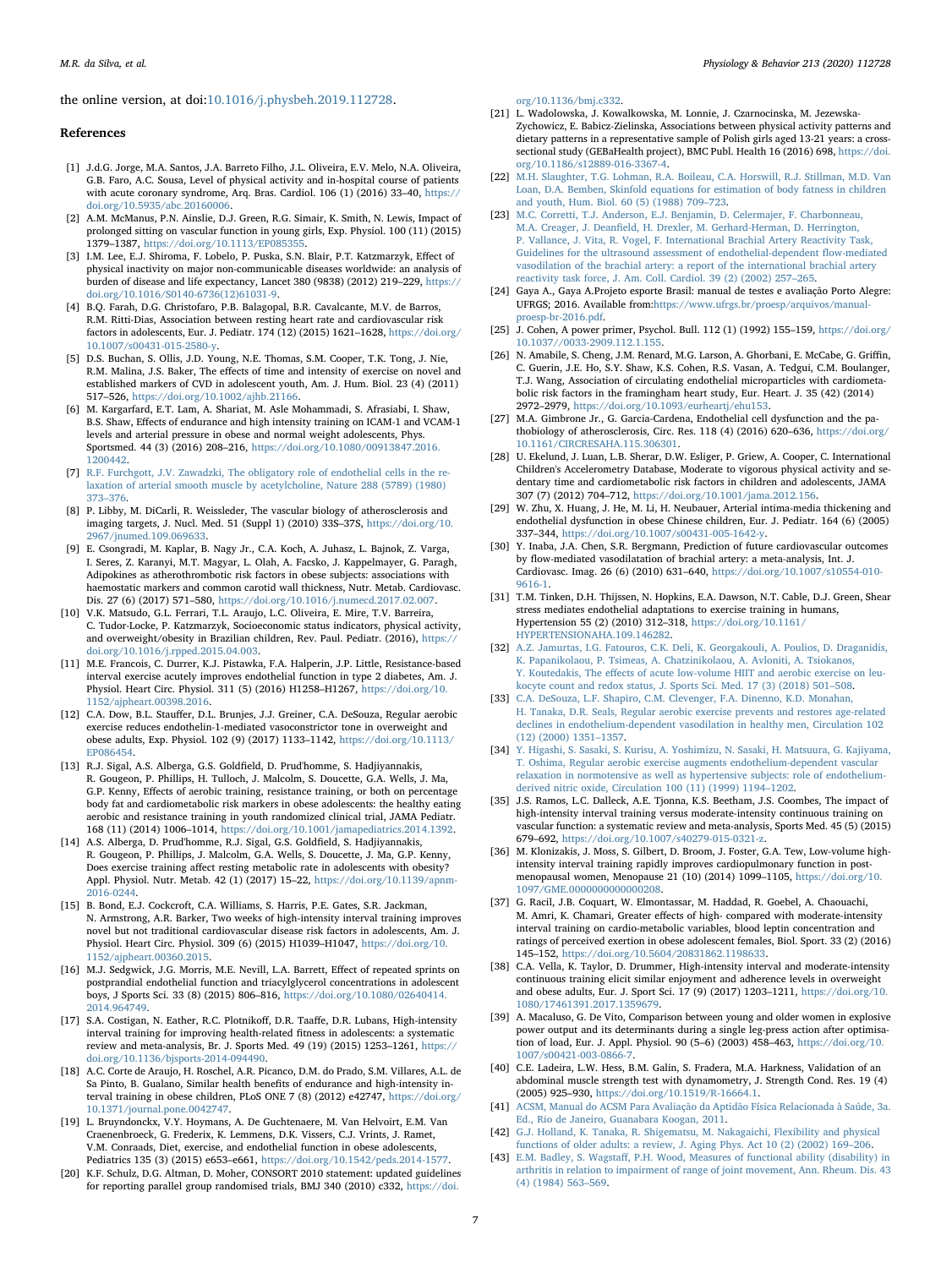the online version, at doi:[10.1016/j.physbeh.2019.112728.](https://doi.org/10.1016/j.physbeh.2019.112728)

#### References

- <span id="page-6-0"></span>[1] J.d.G. Jorge, M.A. Santos, J.A. Barreto Filho, J.L. Oliveira, E.V. Melo, N.A. Oliveira, G.B. Faro, A.C. Sousa, Level of physical activity and in-hospital course of patients with acute coronary syndrome, Arq. Bras. Cardiol. 106 (1) (2016) 33–40, [https://](https://doi.org/10.5935/abc.20160006) [doi.org/10.5935/abc.20160006.](https://doi.org/10.5935/abc.20160006)
- <span id="page-6-1"></span>[2] A.M. McManus, P.N. Ainslie, D.J. Green, R.G. Simair, K. Smith, N. Lewis, Impact of prolonged sitting on vascular function in young girls, Exp. Physiol. 100 (11) (2015) 1379–1387, https://doi.org/10.1113/EP08535
- <span id="page-6-2"></span>[3] I.M. Lee, E.J. Shiroma, F. Lobelo, P. Puska, S.N. Blair, P.T. Katzmarzyk, Effect of physical inactivity on major non-communicable diseases worldwide: an analysis of burden of disease and life expectancy, Lancet 380 (9838) (2012) 219–229, [https://](https://doi.org/10.1016/S0140-6736(12)61031-9) [doi.org/10.1016/S0140-6736\(12\)61031-9.](https://doi.org/10.1016/S0140-6736(12)61031-9)
- <span id="page-6-3"></span>[4] B.Q. Farah, D.G. Christofaro, P.B. Balagopal, B.R. Cavalcante, M.V. de Barros, R.M. Ritti-Dias, Association between resting heart rate and cardiovascular risk factors in adolescents, Eur. J. Pediatr. 174 (12) (2015) 1621–1628, [https://doi.org/](https://doi.org/10.1007/s00431-015-2580-y) [10.1007/s00431-015-2580-y.](https://doi.org/10.1007/s00431-015-2580-y)
- <span id="page-6-13"></span>[5] D.S. Buchan, S. Ollis, J.D. Young, N.E. Thomas, S.M. Cooper, T.K. Tong, J. Nie, R.M. Malina, J.S. Baker, The effects of time and intensity of exercise on novel and established markers of CVD in adolescent youth, Am. J. Hum. Biol. 23 (4) (2011) 517–526, [https://doi.org/10.1002/ajhb.21166.](https://doi.org/10.1002/ajhb.21166)
- [6] M. Kargarfard, E.T. Lam, A. Shariat, M. Asle Mohammadi, S. Afrasiabi, I. Shaw, B.S. Shaw, Effects of endurance and high intensity training on ICAM-1 and VCAM-1 levels and arterial pressure in obese and normal weight adolescents, Phys. Sportsmed. 44 (3) (2016) 208–216, [https://doi.org/10.1080/00913847.2016.](https://doi.org/10.1080/00913847.2016.1200442) [1200442.](https://doi.org/10.1080/00913847.2016.1200442)
- <span id="page-6-4"></span>[7] [R.F. Furchgott, J.V. Zawadzki, The obligatory role of endothelial cells in the re](http://refhub.elsevier.com/S0031-9384(19)30530-X/sbref0007)[laxation of arterial smooth muscle by acetylcholine, Nature 288 \(5789\) \(1980\)](http://refhub.elsevier.com/S0031-9384(19)30530-X/sbref0007) 373–[376.](http://refhub.elsevier.com/S0031-9384(19)30530-X/sbref0007)
- <span id="page-6-5"></span>[8] P. Libby, M. DiCarli, R. Weissleder, The vascular biology of atherosclerosis and imaging targets, J. Nucl. Med. 51 (Suppl 1) (2010) 33S–37S, [https://doi.org/10.](https://doi.org/10.2967/jnumed.109.069633) [2967/jnumed.109.069633.](https://doi.org/10.2967/jnumed.109.069633)
- <span id="page-6-6"></span>[9] E. Csongradi, M. Kaplar, B. Nagy Jr., C.A. Koch, A. Juhasz, L. Bajnok, Z. Varga, I. Seres, Z. Karanyi, M.T. Magyar, L. Olah, A. Facsko, J. Kappelmayer, G. Paragh, Adipokines as atherothrombotic risk factors in obese subjects: associations with haemostatic markers and common carotid wall thickness, Nutr. Metab. Cardiovasc. Dis. 27 (6) (2017) 571–580, [https://doi.org/10.1016/j.numecd.2017.02.007.](https://doi.org/10.1016/j.numecd.2017.02.007)
- <span id="page-6-7"></span>[10] V.K. Matsudo, G.L. Ferrari, T.L. Araujo, L.C. Oliveira, E. Mire, T.V. Barreira, C. Tudor-Locke, P. Katzmarzyk, Socioeconomic status indicators, physical activity, and overweight/obesity in Brazilian children, Rev. Paul. Pediatr. (2016), [https://](https://doi.org/10.1016/j.rpped.2015.04.003) [doi.org/10.1016/j.rpped.2015.04.003.](https://doi.org/10.1016/j.rpped.2015.04.003)
- <span id="page-6-8"></span>[11] M.E. Francois, C. Durrer, K.J. Pistawka, F.A. Halperin, J.P. Little, Resistance-based interval exercise acutely improves endothelial function in type 2 diabetes, Am. J. Physiol. Heart Circ. Physiol. 311 (5) (2016) H1258–H1267, [https://doi.org/10.](https://doi.org/10.1152/ajpheart.00398.2016) [1152/ajpheart.00398.2016.](https://doi.org/10.1152/ajpheart.00398.2016)
- <span id="page-6-9"></span>[12] C.A. Dow, B.L. Stauffer, D.L. Brunjes, J.J. Greiner, C.A. DeSouza, Regular aerobic exercise reduces endothelin-1-mediated vasoconstrictor tone in overweight and obese adults, Exp. Physiol. 102 (9) (2017) 1133–1142, [https://doi.org/10.1113/](https://doi.org/10.1113/EP086454) [EP086454.](https://doi.org/10.1113/EP086454)
- <span id="page-6-10"></span>[13] R.J. Sigal, A.S. Alberga, G.S. Goldfield, D. Prud'homme, S. Hadjiyannakis, R. Gougeon, P. Phillips, H. Tulloch, J. Malcolm, S. Doucette, G.A. Wells, J. Ma, G.P. Kenny, Effects of aerobic training, resistance training, or both on percentage body fat and cardiometabolic risk markers in obese adolescents: the healthy eating aerobic and resistance training in youth randomized clinical trial, JAMA Pediatr. 168 (11) (2014) 1006–1014, [https://doi.org/10.1001/jamapediatrics.2014.1392.](https://doi.org/10.1001/jamapediatrics.2014.1392)
- <span id="page-6-11"></span>[14] A.S. Alberga, D. Prud'homme, R.J. Sigal, G.S. Goldfield, S. Hadjiyannakis, R. Gougeon, P. Phillips, J. Malcolm, G.A. Wells, S. Doucette, J. Ma, G.P. Kenny, Does exercise training affect resting metabolic rate in adolescents with obesity? Appl. Physiol. Nutr. Metab. 42 (1) (2017) 15–22, [https://doi.org/10.1139/apnm-](https://doi.org/10.1139/apnm-2016-0244)[2016-0244.](https://doi.org/10.1139/apnm-2016-0244)
- <span id="page-6-12"></span>[15] B. Bond, E.J. Cockcroft, C.A. Williams, S. Harris, P.E. Gates, S.R. Jackman, N. Armstrong, A.R. Barker, Two weeks of high-intensity interval training improves novel but not traditional cardiovascular disease risk factors in adolescents, Am. J. Physiol. Heart Circ. Physiol. 309 (6) (2015) H1039–H1047, [https://doi.org/10.](https://doi.org/10.1152/ajpheart.00360.2015) [1152/ajpheart.00360.2015.](https://doi.org/10.1152/ajpheart.00360.2015)
- [16] M.J. Sedgwick, J.G. Morris, M.E. Nevill, L.A. Barrett, Effect of repeated sprints on postprandial endothelial function and triacylglycerol concentrations in adolescent boys, J Sports Sci. 33 (8) (2015) 806–816, [https://doi.org/10.1080/02640414.](https://doi.org/10.1080/02640414.2014.964749) [2014.964749.](https://doi.org/10.1080/02640414.2014.964749)
- [17] S.A. Costigan, N. Eather, R.C. Plotnikoff, D.R. Taaffe, D.R. Lubans, High-intensity interval training for improving health-related fitness in adolescents: a systematic review and meta-analysis, Br. J. Sports Med. 49 (19) (2015) 1253–1261, [https://](https://doi.org/10.1136/bjsports-2014-094490) [doi.org/10.1136/bjsports-2014-094490.](https://doi.org/10.1136/bjsports-2014-094490)
- <span id="page-6-14"></span>[18] A.C. Corte de Araujo, H. Roschel, A.R. Picanco, D.M. do Prado, S.M. Villares, A.L. de Sa Pinto, B. Gualano, Similar health benefits of endurance and high-intensity interval training in obese children, PLoS ONE 7 (8) (2012) e42747, [https://doi.org/](https://doi.org/10.1371/journal.pone.0042747) [10.1371/journal.pone.0042747.](https://doi.org/10.1371/journal.pone.0042747)
- <span id="page-6-15"></span>[19] L. Bruyndonckx, V.Y. Hoymans, A. De Guchtenaere, M. Van Helvoirt, E.M. Van Craenenbroeck, G. Frederix, K. Lemmens, D.K. Vissers, C.J. Vrints, J. Ramet, V.M. Conraads, Diet, exercise, and endothelial function in obese adolescents, Pediatrics 135 (3) (2015) e653–e661, [https://doi.org/10.1542/peds.2014-1577.](https://doi.org/10.1542/peds.2014-1577)
- <span id="page-6-16"></span>[20] K.F. Schulz, D.G. Altman, D. Moher, CONSORT 2010 statement: updated guidelines for reporting parallel group randomised trials, BMJ 340 (2010) c332, [https://doi.](https://doi.org/10.1136/bmj.c332)

M.R. da Silva, et al. *Physiology & Behavior 213 (2020) 112728*

[org/10.1136/bmj.c332.](https://doi.org/10.1136/bmj.c332)

- <span id="page-6-17"></span>[21] L. Wadolowska, J. Kowalkowska, M. Lonnie, J. Czarnocinska, M. Jezewska-Zychowicz, E. Babicz-Zielinska, Associations between physical activity patterns and dietary patterns in a representative sample of Polish girls aged 13-21 years: a crosssectional study (GEBaHealth project), BMC Publ. Health 16 (2016) 698, [https://doi.](https://doi.org/10.1186/s12889-016-3367-4) [org/10.1186/s12889-016-3367-4.](https://doi.org/10.1186/s12889-016-3367-4)
- <span id="page-6-18"></span>[22] [M.H. Slaughter, T.G. Lohman, R.A. Boileau, C.A. Horswill, R.J. Stillman, M.D. Van](http://refhub.elsevier.com/S0031-9384(19)30530-X/sbref0022) [Loan, D.A. Bemben, Skinfold equations for estimation of body fatness in children](http://refhub.elsevier.com/S0031-9384(19)30530-X/sbref0022) [and youth, Hum. Biol. 60 \(5\) \(1988\) 709](http://refhub.elsevier.com/S0031-9384(19)30530-X/sbref0022)–723.
- <span id="page-6-19"></span>[23] [M.C. Corretti, T.J. Anderson, E.J. Benjamin, D. Celermajer, F. Charbonneau,](http://refhub.elsevier.com/S0031-9384(19)30530-X/sbref0023) M.A. Creager, J. Deanfi[eld, H. Drexler, M. Gerhard-Herman, D. Herrington,](http://refhub.elsevier.com/S0031-9384(19)30530-X/sbref0023) [P. Vallance, J. Vita, R. Vogel, F. International Brachial Artery Reactivity Task,](http://refhub.elsevier.com/S0031-9384(19)30530-X/sbref0023) [Guidelines for the ultrasound assessment of endothelial-dependent](http://refhub.elsevier.com/S0031-9384(19)30530-X/sbref0023) flow-mediated [vasodilation of the brachial artery: a report of the international brachial artery](http://refhub.elsevier.com/S0031-9384(19)30530-X/sbref0023) [reactivity task force, J. Am. Coll. Cardiol. 39 \(2\) \(2002\) 257](http://refhub.elsevier.com/S0031-9384(19)30530-X/sbref0023)–265.
- <span id="page-6-21"></span>[24] Gaya A., Gaya A.Projeto esporte Brasil: manual de testes e avaliação Porto Alegre: UFRGS; 2016. Available from[:https://www.ufrgs.br/proesp/arquivos/manual](https://www.ufrgs.br/proesp/arquivos/manual-proesp-br-2016.pdf)[proesp-br-2016.pdf](https://www.ufrgs.br/proesp/arquivos/manual-proesp-br-2016.pdf).
- <span id="page-6-20"></span>[25] J. Cohen, A power primer, Psychol. Bull. 112 (1) (1992) 155–159, [https://doi.org/](https://doi.org/10.1037//0033-2909.112.1.155) [10.1037//0033-2909.112.1.155.](https://doi.org/10.1037//0033-2909.112.1.155)
- <span id="page-6-22"></span>[26] N. Amabile, S. Cheng, J.M. Renard, M.G. Larson, A. Ghorbani, E. McCabe, G. Griffin, C. Guerin, J.E. Ho, S.Y. Shaw, K.S. Cohen, R.S. Vasan, A. Tedgui, C.M. Boulanger, T.J. Wang, Association of circulating endothelial microparticles with cardiometabolic risk factors in the framingham heart study, Eur. Heart. J. 35 (42) (2014) 2972–2979, [https://doi.org/10.1093/eurheartj/ehu153.](https://doi.org/10.1093/eurheartj/ehu153)
- <span id="page-6-23"></span>[27] M.A. Gimbrone Jr., G. Garcia-Cardena, Endothelial cell dysfunction and the pathobiology of atherosclerosis, Circ. Res. 118 (4) (2016) 620–636, [https://doi.org/](https://doi.org/10.1161/CIRCRESAHA.115.306301) [10.1161/CIRCRESAHA.115.306301.](https://doi.org/10.1161/CIRCRESAHA.115.306301)
- <span id="page-6-24"></span>[28] U. Ekelund, J. Luan, L.B. Sherar, D.W. Esliger, P. Griew, A. Cooper, C. International Children's Accelerometry Database, Moderate to vigorous physical activity and sedentary time and cardiometabolic risk factors in children and adolescents, JAMA 307 (7) (2012) 704–712, [https://doi.org/10.1001/jama.2012.156.](https://doi.org/10.1001/jama.2012.156)
- <span id="page-6-25"></span>[29] W. Zhu, X. Huang, J. He, M. Li, H. Neubauer, Arterial intima-media thickening and endothelial dysfunction in obese Chinese children, Eur. J. Pediatr. 164 (6) (2005) 337–344, [https://doi.org/10.1007/s00431-005-1642-y.](https://doi.org/10.1007/s00431-005-1642-y)
- <span id="page-6-26"></span>[30] Y. Inaba, J.A. Chen, S.R. Bergmann, Prediction of future cardiovascular outcomes by flow-mediated vasodilatation of brachial artery: a meta-analysis, Int. J. Cardiovasc. Imag. 26 (6) (2010) 631–640, [https://doi.org/10.1007/s10554-010-](https://doi.org/10.1007/s10554-010-9616-1) [9616-1.](https://doi.org/10.1007/s10554-010-9616-1)
- <span id="page-6-27"></span>[31] T.M. Tinken, D.H. Thijssen, N. Hopkins, E.A. Dawson, N.T. Cable, D.J. Green, Shear stress mediates endothelial adaptations to exercise training in humans, Hypertension 55 (2) (2010) 312–318, [https://doi.org/10.1161/](https://doi.org/10.1161/HYPERTENSIONAHA.109.146282) [HYPERTENSIONAHA.109.146282.](https://doi.org/10.1161/HYPERTENSIONAHA.109.146282)
- <span id="page-6-28"></span>[32] [A.Z. Jamurtas, I.G. Fatouros, C.K. Deli, K. Georgakouli, A. Poulios, D. Draganidis,](http://refhub.elsevier.com/S0031-9384(19)30530-X/sbref0031) [K. Papanikolaou, P. Tsimeas, A. Chatzinikolaou, A. Avloniti, A. Tsiokanos,](http://refhub.elsevier.com/S0031-9384(19)30530-X/sbref0031) Y. Koutedakis, The eff[ects of acute low-volume HIIT and aerobic exercise on leu](http://refhub.elsevier.com/S0031-9384(19)30530-X/sbref0031)[kocyte count and redox status, J. Sports Sci. Med. 17 \(3\) \(2018\) 501](http://refhub.elsevier.com/S0031-9384(19)30530-X/sbref0031)–508.
- <span id="page-6-29"></span>[33] [C.A. DeSouza, L.F. Shapiro, C.M. Clevenger, F.A. Dinenno, K.D. Monahan,](http://refhub.elsevier.com/S0031-9384(19)30530-X/sbref0032) [H. Tanaka, D.R. Seals, Regular aerobic exercise prevents and restores age-related](http://refhub.elsevier.com/S0031-9384(19)30530-X/sbref0032) [declines in endothelium-dependent vasodilation in healthy men, Circulation 102](http://refhub.elsevier.com/S0031-9384(19)30530-X/sbref0032) [\(12\) \(2000\) 1351](http://refhub.elsevier.com/S0031-9384(19)30530-X/sbref0032)–1357.
- <span id="page-6-30"></span>[34] [Y. Higashi, S. Sasaki, S. Kurisu, A. Yoshimizu, N. Sasaki, H. Matsuura, G. Kajiyama,](http://refhub.elsevier.com/S0031-9384(19)30530-X/sbref0033) [T. Oshima, Regular aerobic exercise augments endothelium-dependent vascular](http://refhub.elsevier.com/S0031-9384(19)30530-X/sbref0033) [relaxation in normotensive as well as hypertensive subjects: role of endothelium](http://refhub.elsevier.com/S0031-9384(19)30530-X/sbref0033)[derived nitric oxide, Circulation 100 \(11\) \(1999\) 1194](http://refhub.elsevier.com/S0031-9384(19)30530-X/sbref0033)–1202.
- <span id="page-6-31"></span>[35] J.S. Ramos, L.C. Dalleck, A.E. Tjonna, K.S. Beetham, J.S. Coombes, The impact of high-intensity interval training versus moderate-intensity continuous training on vascular function: a systematic review and meta-analysis, Sports Med. 45 (5) (2015) 679–692, [https://doi.org/10.1007/s40279-015-0321-z.](https://doi.org/10.1007/s40279-015-0321-z)
- <span id="page-6-32"></span>[36] M. Klonizakis, J. Moss, S. Gilbert, D. Broom, J. Foster, G.A. Tew, Low-volume highintensity interval training rapidly improves cardiopulmonary function in postmenopausal women, Menopause 21 (10) (2014) 1099–1105, [https://doi.org/10.](https://doi.org/10.1097/GME.0000000000000208) [1097/GME.0000000000000208.](https://doi.org/10.1097/GME.0000000000000208)
- <span id="page-6-33"></span>[37] G. Racil, J.B. Coquart, W. Elmontassar, M. Haddad, R. Goebel, A. Chaouachi, M. Amri, K. Chamari, Greater effects of high- compared with moderate-intensity interval training on cardio-metabolic variables, blood leptin concentration and ratings of perceived exertion in obese adolescent females, Biol. Sport. 33 (2) (2016) 145–152, [https://doi.org/10.5604/20831862.1198633.](https://doi.org/10.5604/20831862.1198633)
- <span id="page-6-34"></span>[38] C.A. Vella, K. Taylor, D. Drummer, High-intensity interval and moderate-intensity continuous training elicit similar enjoyment and adherence levels in overweight and obese adults, Eur. J. Sport Sci. 17 (9) (2017) 1203–1211, [https://doi.org/10.](https://doi.org/10.1080/17461391.2017.1359679) [1080/17461391.2017.1359679.](https://doi.org/10.1080/17461391.2017.1359679)
- <span id="page-6-35"></span>[39] A. Macaluso, G. De Vito, Comparison between young and older women in explosive power output and its determinants during a single leg-press action after optimisation of load, Eur. J. Appl. Physiol. 90 (5–6) (2003) 458–463, [https://doi.org/10.](https://doi.org/10.1007/s00421-003-0866-7) [1007/s00421-003-0866-7.](https://doi.org/10.1007/s00421-003-0866-7)
- <span id="page-6-36"></span>[40] C.E. Ladeira, L.W. Hess, B.M. Galin, S. Fradera, M.A. Harkness, Validation of an abdominal muscle strength test with dynamometry, J. Strength Cond. Res. 19 (4) (2005) 925–930, [https://doi.org/10.1519/R-16664.1.](https://doi.org/10.1519/R-16664.1)
- <span id="page-6-37"></span>[41] [ACSM, Manual do ACSM Para Avaliação da Aptidão Física Relacionada à Saúde, 3a.](http://refhub.elsevier.com/S0031-9384(19)30530-X/sbref0040) [Ed., Rio de Janeiro, Guanabara Koogan, 2011.](http://refhub.elsevier.com/S0031-9384(19)30530-X/sbref0040)
- <span id="page-6-38"></span>[42] [G.J. Holland, K. Tanaka, R. Shigematsu, M. Nakagaichi, Flexibility and physical](http://refhub.elsevier.com/S0031-9384(19)30530-X/sbref0041) [functions of older adults: a review, J. Aging Phys. Act 10 \(2\) \(2002\) 169](http://refhub.elsevier.com/S0031-9384(19)30530-X/sbref0041)–206.
- <span id="page-6-39"></span>[43] E.M. Badley, S. Wagstaff[, P.H. Wood, Measures of functional ability \(disability\) in](http://refhub.elsevier.com/S0031-9384(19)30530-X/sbref0042) [arthritis in relation to impairment of range of joint movement, Ann. Rheum. Dis. 43](http://refhub.elsevier.com/S0031-9384(19)30530-X/sbref0042) [\(4\) \(1984\) 563](http://refhub.elsevier.com/S0031-9384(19)30530-X/sbref0042)–569.